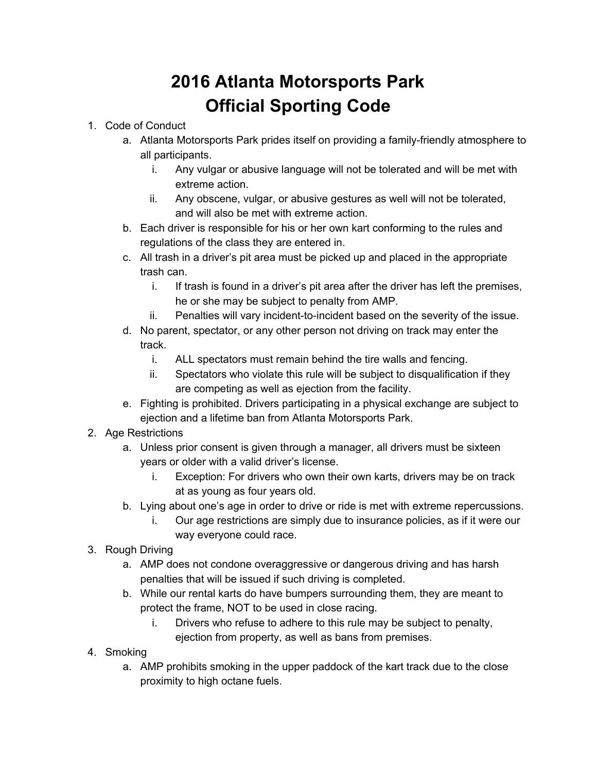## **2016 Atlanta Motorsports Park Official Sporting Code**

## 1. Code of Conduct

- a. Atlanta Motorsports Park prides itself on providing a family-friendly atmosphere to all participants.
	- i. Any vulgar or abusive language will not be tolerated and will be met with extreme action.
	- ii. Any obscene, vulgar, or abusive gestures as well will not be tolerated, and will also be met with extreme action.
- b. Each driver is responsible for his or her own kart conforming to the rules and regulations of the class they are entered in.
- c. All trash in a driver's pit area must be picked up and placed in the appropriate trash can.
	- i. If trash is found in a driver's pit area after the driver has left the premises, he or she may be subject to penalty from AMP.
	- ii. Penalties will vary incident-to-incident based on the severity of the issue.
- d. No parent, spectator, or any other person not driving on track may enter the track.
	- i. ALL spectators must remain behind the tire walls and fencing.
	- ii. Spectators who violate this rule will be subject to disqualification if they are competing as well as ejection from the facility.
- e. Fighting is prohibited. Drivers participating in a physical exchange are subject to ejection and a lifetime ban from Atlanta Motorsports Park.
- 2. Age Restrictions
	- a. Unless prior consent is given through a manager, all drivers must be sixteen years or older with a valid driver's license.
		- i. Exception: For drivers who own their own karts, drivers may be on track at as young as four years old.
	- b. Lying about one's age in order to drive or ride is met with extreme repercussions.
		- i. Our age restrictions are simply due to insurance policies, as if it were our way everyone could race.
- 3. Rough Driving
	- a. AMP does not condone overaggressive or dangerous driving and has harsh penalties that will be issued if such driving is completed.
	- b. While our rental karts do have bumpers surrounding them, they are meant to protect the frame, NOT to be used in close racing.
		- i. Drivers who refuse to adhere to this rule may be subject to penalty, ejection from property, as well as bans from premises.
- 4. Smoking
	- a. AMP prohibits smoking in the upper paddock of the kart track due to the close proximity to high octane fuels.